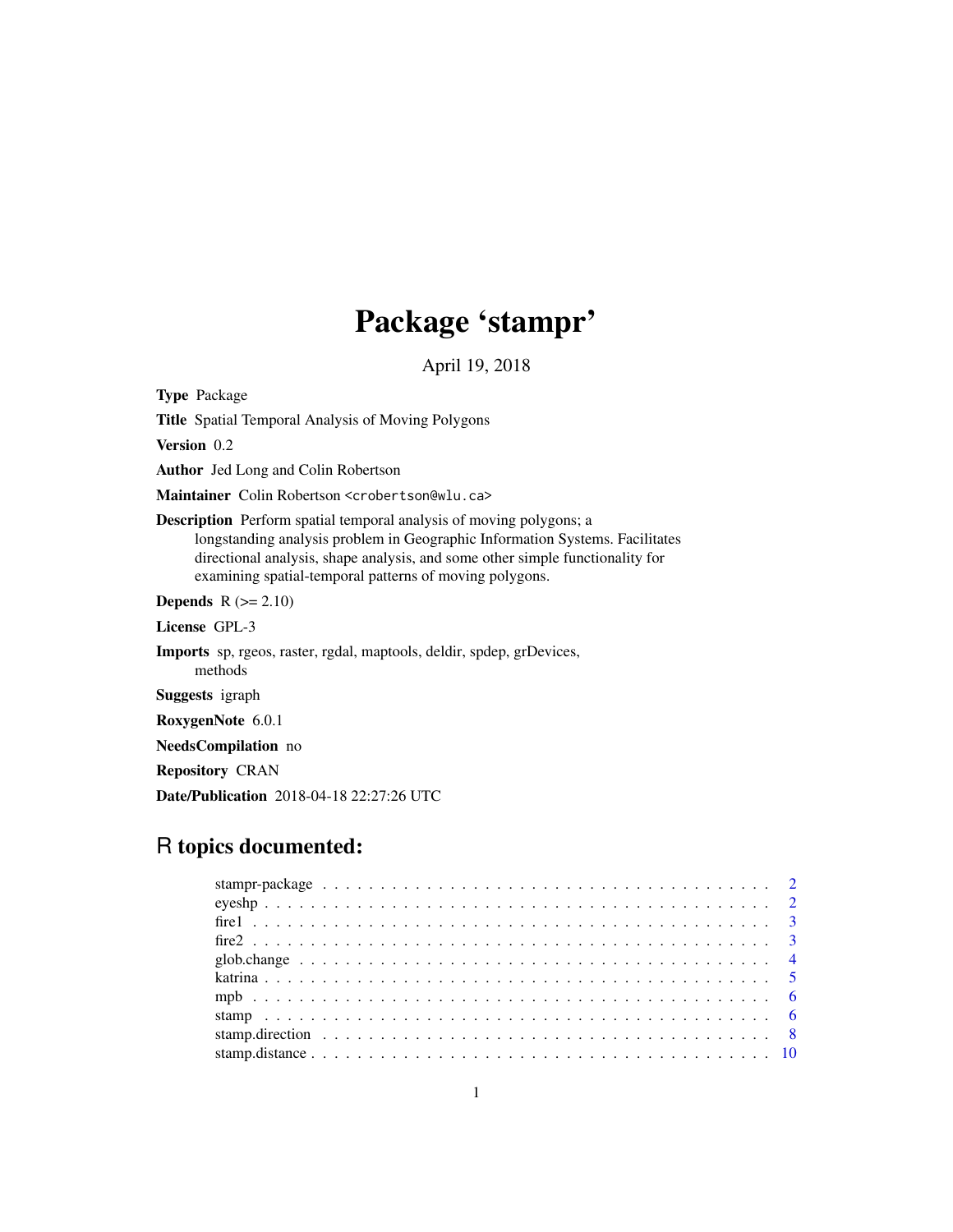# Package 'stampr'

April 19, 2018

Type Package

Title Spatial Temporal Analysis of Moving Polygons

Version 0.2

Author Jed Long and Colin Robertson

Maintainer Colin Robertson <crobertson@wlu.ca>

Description Perform spatial temporal analysis of moving polygons; a longstanding analysis problem in Geographic Information Systems. Facilitates directional analysis, shape analysis, and some other simple functionality for examining spatial-temporal patterns of moving polygons.

**Depends**  $R$  ( $>= 2.10$ )

License GPL-3

Imports sp, rgeos, raster, rgdal, maptools, deldir, spdep, grDevices, methods

Suggests igraph

RoxygenNote 6.0.1

NeedsCompilation no

Repository CRAN

Date/Publication 2018-04-18 22:27:26 UTC

# R topics documented: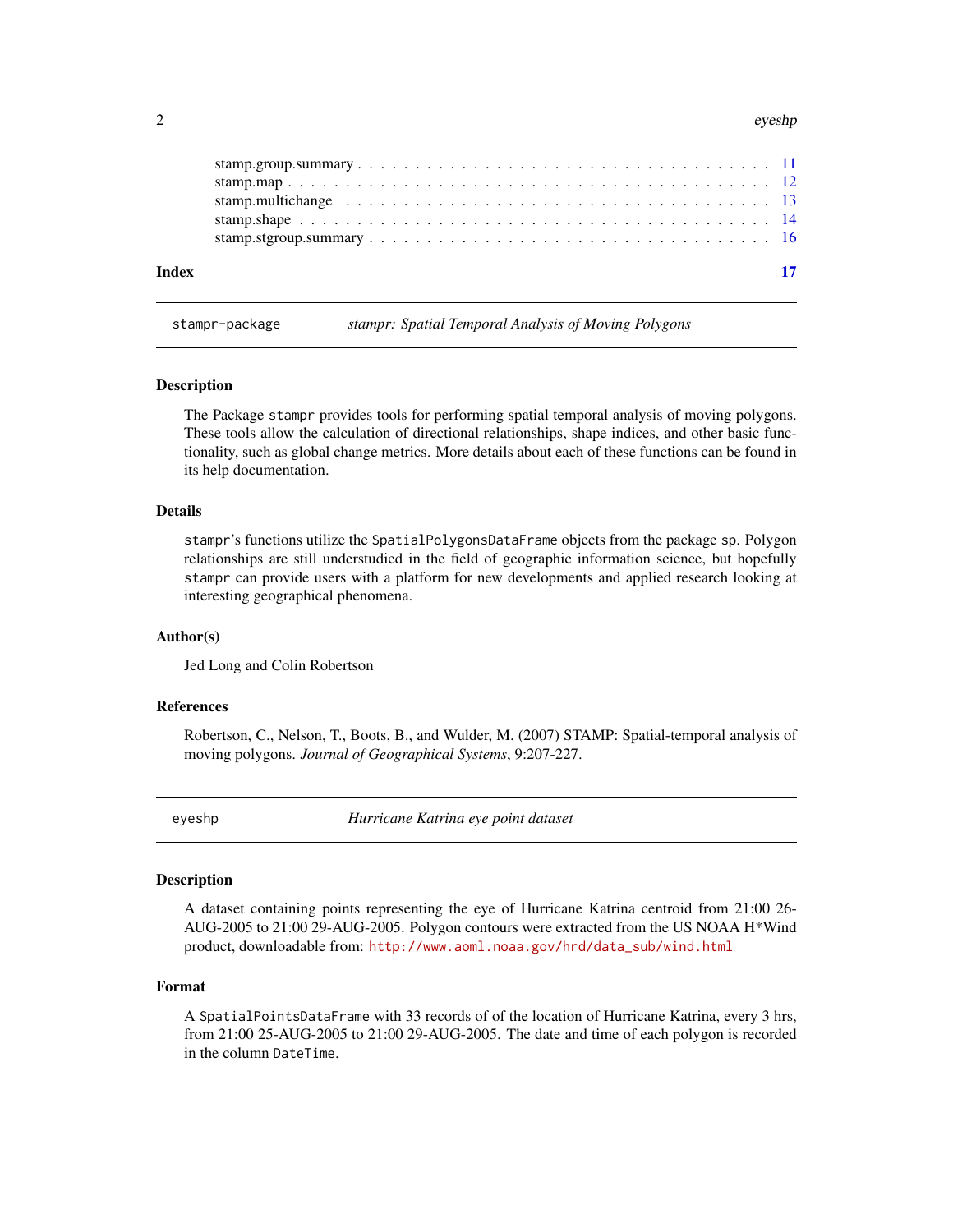#### <span id="page-1-0"></span> $2<sup>2</sup>$

stampr-package *stampr: Spatial Temporal Analysis of Moving Polygons*

#### Description

The Package stampr provides tools for performing spatial temporal analysis of moving polygons. These tools allow the calculation of directional relationships, shape indices, and other basic functionality, such as global change metrics. More details about each of these functions can be found in its help documentation.

#### Details

stampr's functions utilize the SpatialPolygonsDataFrame objects from the package sp. Polygon relationships are still understudied in the field of geographic information science, but hopefully stampr can provide users with a platform for new developments and applied research looking at interesting geographical phenomena.

#### Author(s)

Jed Long and Colin Robertson

#### References

Robertson, C., Nelson, T., Boots, B., and Wulder, M. (2007) STAMP: Spatial-temporal analysis of moving polygons. *Journal of Geographical Systems*, 9:207-227.

eyeshp *Hurricane Katrina eye point dataset*

# Description

A dataset containing points representing the eye of Hurricane Katrina centroid from 21:00 26- AUG-2005 to 21:00 29-AUG-2005. Polygon contours were extracted from the US NOAA H\*Wind product, downloadable from: [http://www.aoml.noaa.gov/hrd/data\\_sub/wind.html](http://www.aoml.noaa.gov/hrd/data_sub/wind.html)

#### Format

A SpatialPointsDataFrame with 33 records of of the location of Hurricane Katrina, every 3 hrs, from 21:00 25-AUG-2005 to 21:00 29-AUG-2005. The date and time of each polygon is recorded in the column DateTime.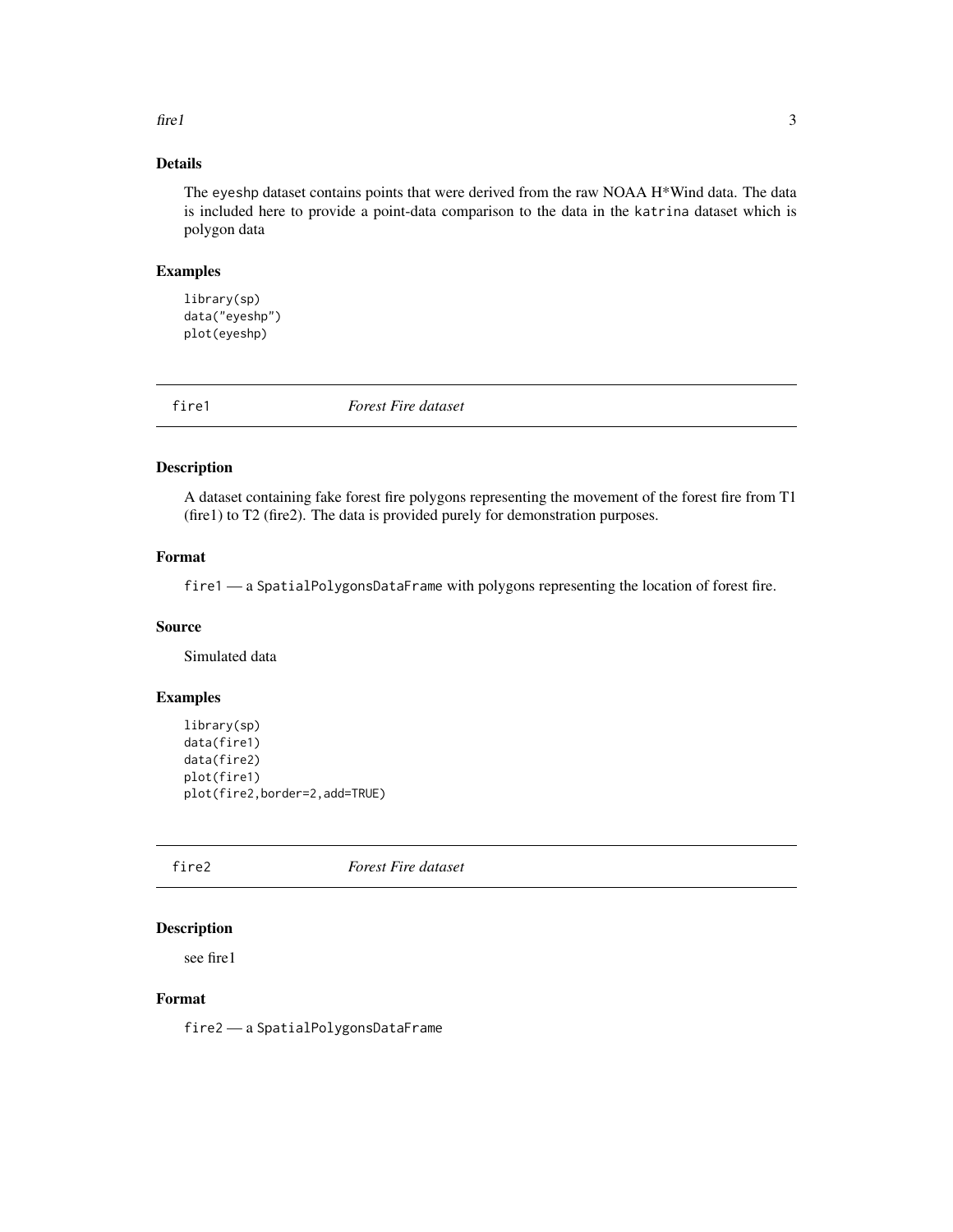#### <span id="page-2-0"></span> $\int$  fire 1 3

# Details

The eyeshp dataset contains points that were derived from the raw NOAA H\*Wind data. The data is included here to provide a point-data comparison to the data in the katrina dataset which is polygon data

#### Examples

```
library(sp)
data("eyeshp")
plot(eyeshp)
```
fire1 *Forest Fire dataset*

#### Description

A dataset containing fake forest fire polygons representing the movement of the forest fire from T1 (fire1) to T2 (fire2). The data is provided purely for demonstration purposes.

# Format

fire1 — a SpatialPolygonsDataFrame with polygons representing the location of forest fire.

#### Source

Simulated data

#### Examples

```
library(sp)
data(fire1)
data(fire2)
plot(fire1)
plot(fire2,border=2,add=TRUE)
```
# fire2 *Forest Fire dataset*

# Description

see fire1

# Format

fire2 — a SpatialPolygonsDataFrame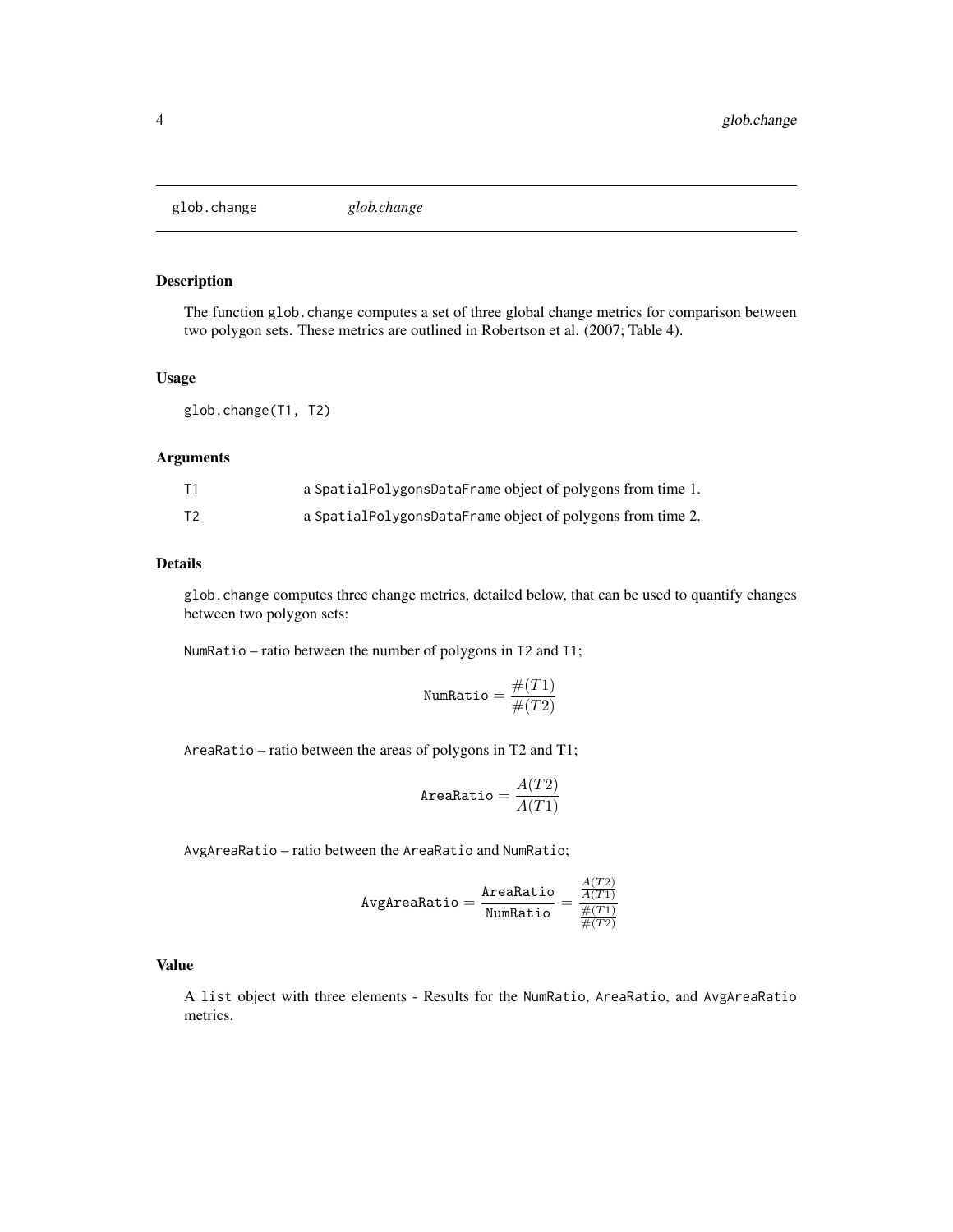<span id="page-3-0"></span>glob.change *glob.change*

# Description

The function glob.change computes a set of three global change metrics for comparison between two polygon sets. These metrics are outlined in Robertson et al. (2007; Table 4).

# Usage

glob.change(T1, T2)

# Arguments

|    | a SpatialPolygonsDataFrame object of polygons from time 1. |
|----|------------------------------------------------------------|
| Τ2 | a SpatialPolygonsDataFrame object of polygons from time 2. |

# Details

glob.change computes three change metrics, detailed below, that can be used to quantify changes between two polygon sets:

NumRatio – ratio between the number of polygons in T2 and T1;

$$
\texttt{NumRatio} = \frac{\#(T1)}{\#(T2)}
$$

AreaRatio – ratio between the areas of polygons in T2 and T1;

$$
\texttt{AreaRatio} = \frac{A(T2)}{A(T1)}
$$

AvgAreaRatio – ratio between the AreaRatio and NumRatio;

$$
\texttt{AvgAreaRatio} = \frac{\texttt{AreaRatio}}{\texttt{NumRatio}} = \frac{\frac{A(T2)}{A(T1)}}{\frac{\#(T1)}{\#(T2)}}
$$

#### Value

A list object with three elements - Results for the NumRatio, AreaRatio, and AvgAreaRatio metrics.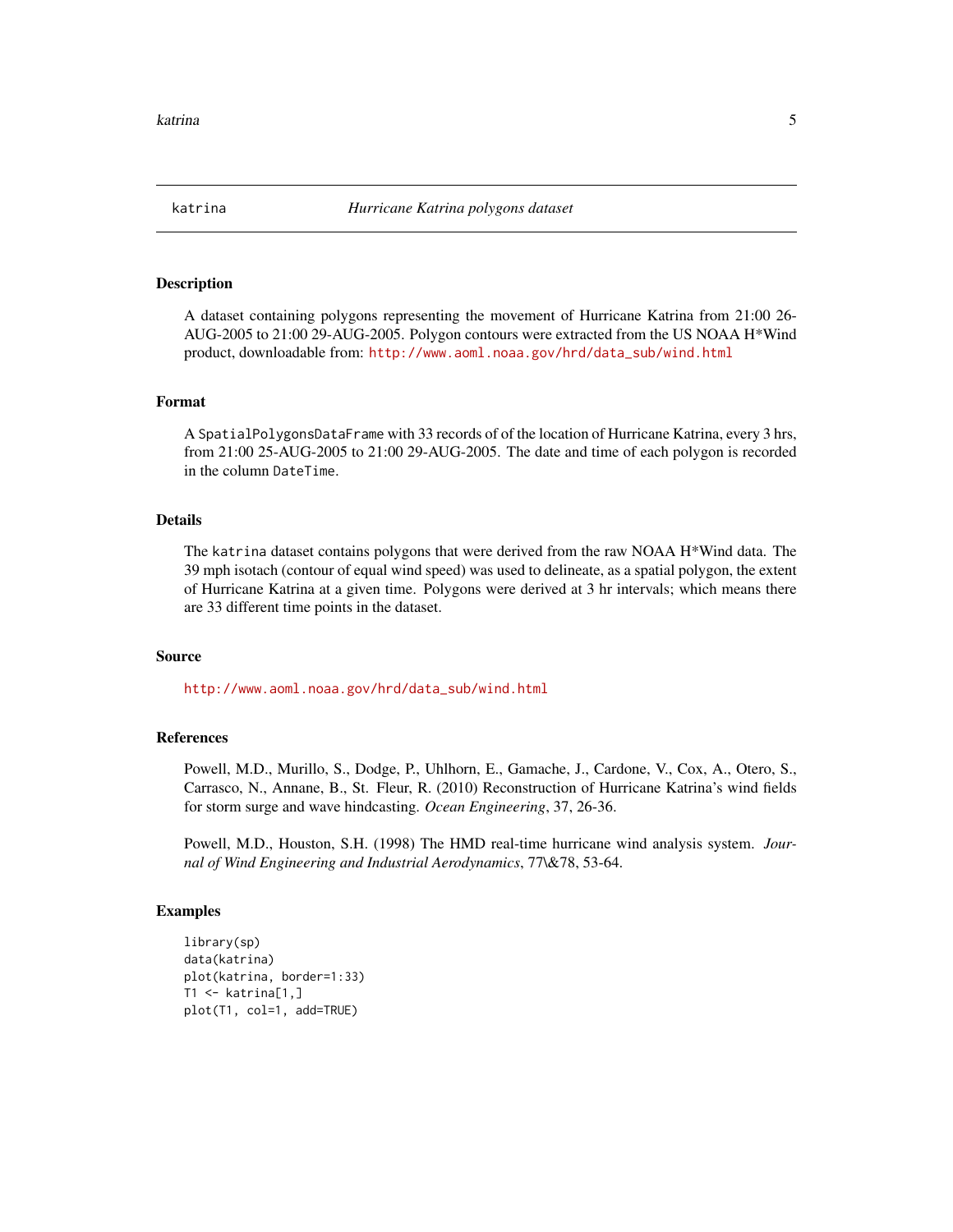<span id="page-4-0"></span>

#### Description

A dataset containing polygons representing the movement of Hurricane Katrina from 21:00 26- AUG-2005 to 21:00 29-AUG-2005. Polygon contours were extracted from the US NOAA H\*Wind product, downloadable from: [http://www.aoml.noaa.gov/hrd/data\\_sub/wind.html](http://www.aoml.noaa.gov/hrd/data_sub/wind.html)

# Format

A SpatialPolygonsDataFrame with 33 records of of the location of Hurricane Katrina, every 3 hrs, from 21:00 25-AUG-2005 to 21:00 29-AUG-2005. The date and time of each polygon is recorded in the column DateTime.

#### Details

The katrina dataset contains polygons that were derived from the raw NOAA H\*Wind data. The 39 mph isotach (contour of equal wind speed) was used to delineate, as a spatial polygon, the extent of Hurricane Katrina at a given time. Polygons were derived at 3 hr intervals; which means there are 33 different time points in the dataset.

#### Source

[http://www.aoml.noaa.gov/hrd/data\\_sub/wind.html](http://www.aoml.noaa.gov/hrd/data_sub/wind.html)

#### References

Powell, M.D., Murillo, S., Dodge, P., Uhlhorn, E., Gamache, J., Cardone, V., Cox, A., Otero, S., Carrasco, N., Annane, B., St. Fleur, R. (2010) Reconstruction of Hurricane Katrina's wind fields for storm surge and wave hindcasting. *Ocean Engineering*, 37, 26-36.

Powell, M.D., Houston, S.H. (1998) The HMD real-time hurricane wind analysis system. *Journal of Wind Engineering and Industrial Aerodynamics*, 77\&78, 53-64.

```
library(sp)
data(katrina)
plot(katrina, border=1:33)
T1 <- katrina[1,]
plot(T1, col=1, add=TRUE)
```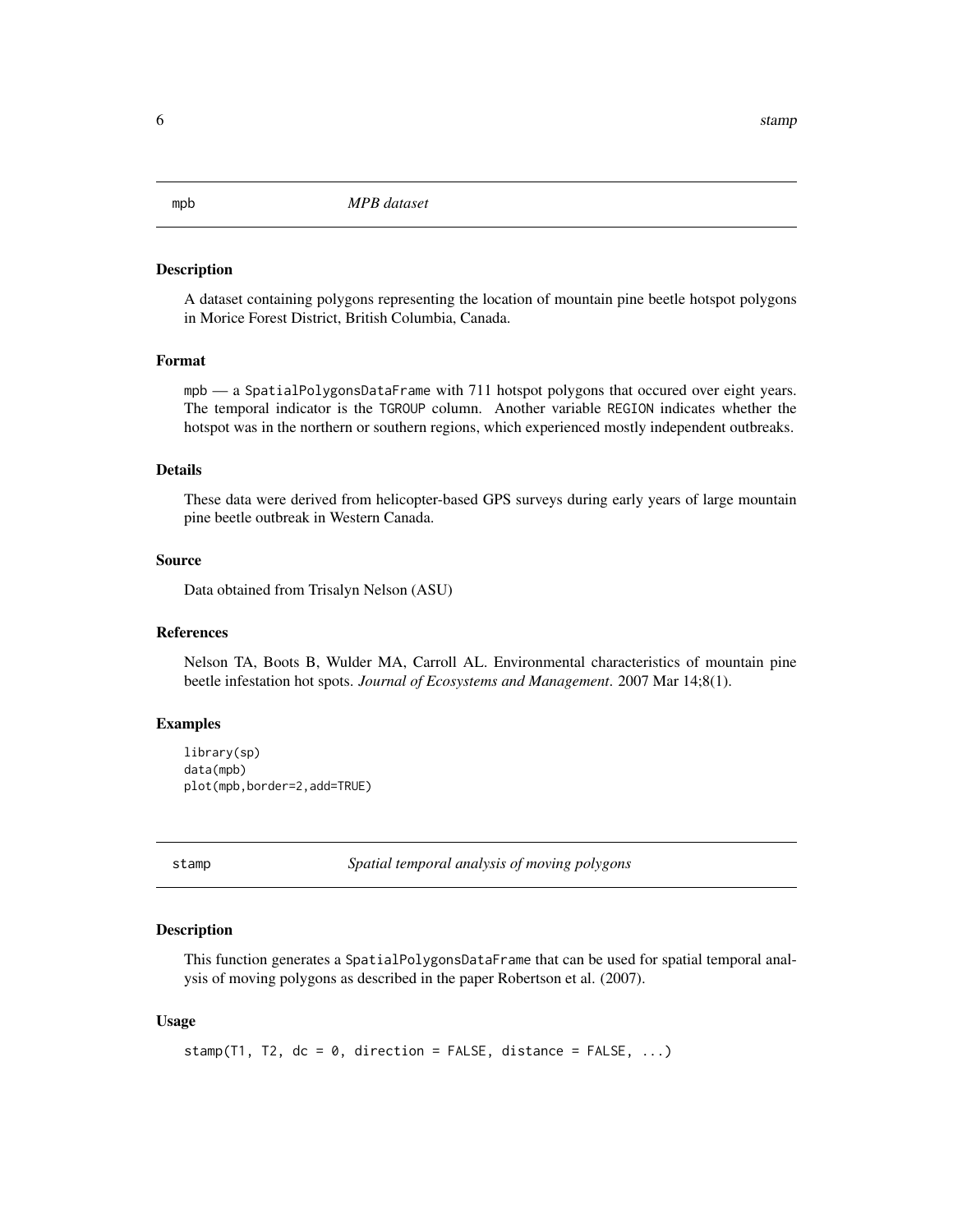<span id="page-5-0"></span>mpb *MPB dataset*

#### Description

A dataset containing polygons representing the location of mountain pine beetle hotspot polygons in Morice Forest District, British Columbia, Canada.

#### Format

mpb — a SpatialPolygonsDataFrame with 711 hotspot polygons that occured over eight years. The temporal indicator is the TGROUP column. Another variable REGION indicates whether the hotspot was in the northern or southern regions, which experienced mostly independent outbreaks.

# Details

These data were derived from helicopter-based GPS surveys during early years of large mountain pine beetle outbreak in Western Canada.

#### Source

Data obtained from Trisalyn Nelson (ASU)

# References

Nelson TA, Boots B, Wulder MA, Carroll AL. Environmental characteristics of mountain pine beetle infestation hot spots. *Journal of Ecosystems and Management*. 2007 Mar 14;8(1).

#### Examples

```
library(sp)
data(mpb)
plot(mpb,border=2,add=TRUE)
```
stamp *Spatial temporal analysis of moving polygons*

#### Description

This function generates a SpatialPolygonsDataFrame that can be used for spatial temporal analysis of moving polygons as described in the paper Robertson et al. (2007).

## Usage

```
stamp(T1, T2, dc = 0, direction = FALSE, distance = FALSE, ...)
```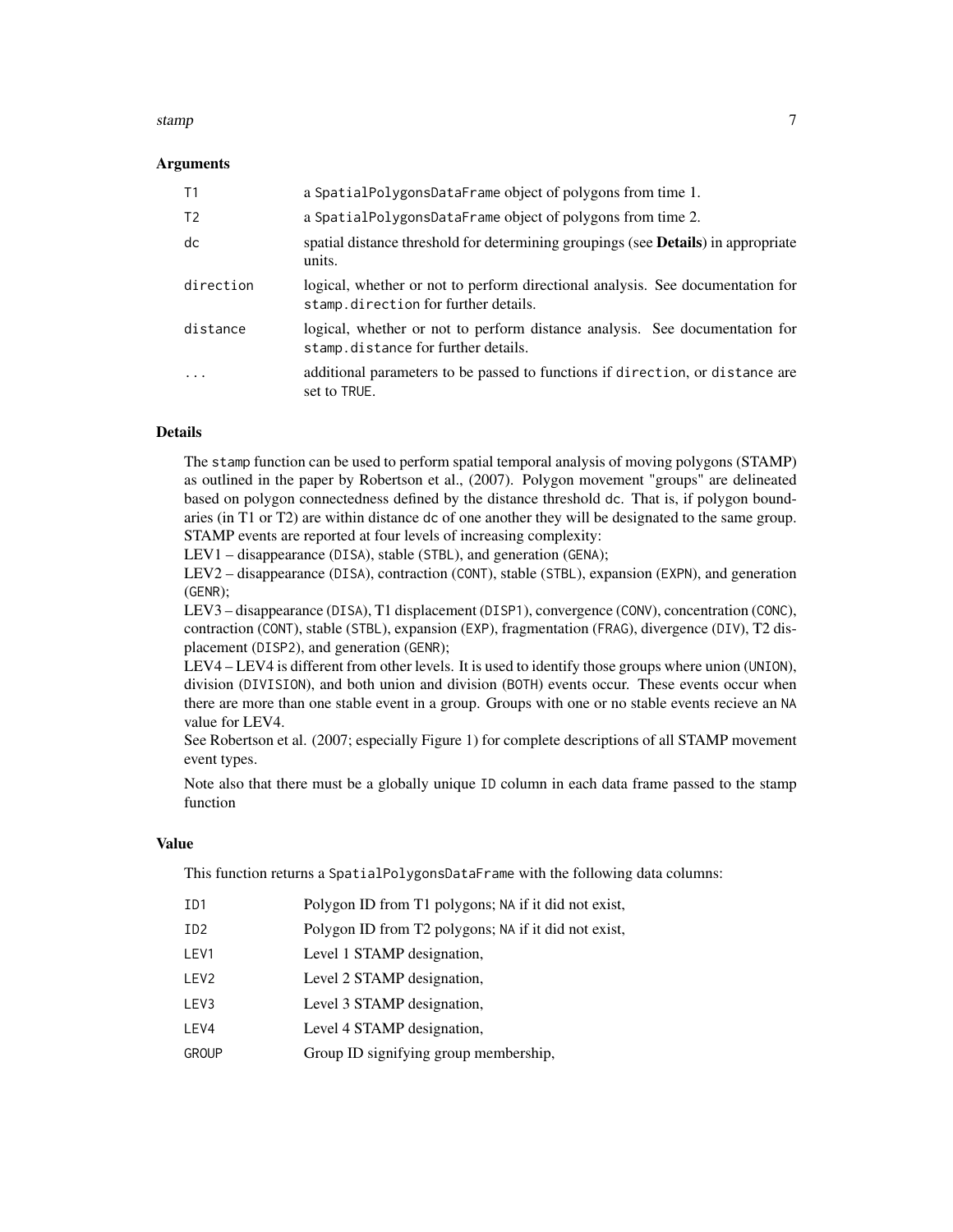#### stamp **7** and 2008 the stamp **7** and 2008 the stamp **7** and 2008 the stamp **7** and 2008 the stamp **7**

## Arguments

| T1                      | a SpatialPolygonsDataFrame object of polygons from time 1.                                                             |
|-------------------------|------------------------------------------------------------------------------------------------------------------------|
| T <sub>2</sub>          | a SpatialPolygonsDataFrame object of polygons from time 2.                                                             |
| dc                      | spatial distance threshold for determining groupings (see <b>Details</b> ) in appropriate<br>units.                    |
| direction               | logical, whether or not to perform directional analysis. See documentation for<br>stamp.direction for further details. |
| distance                | logical, whether or not to perform distance analysis. See documentation for<br>stamp.distance for further details.     |
| $\cdot$ $\cdot$ $\cdot$ | additional parameters to be passed to functions if direction, or distance are<br>set to TRUE.                          |

#### Details

The stamp function can be used to perform spatial temporal analysis of moving polygons (STAMP) as outlined in the paper by Robertson et al., (2007). Polygon movement "groups" are delineated based on polygon connectedness defined by the distance threshold dc. That is, if polygon boundaries (in T1 or T2) are within distance dc of one another they will be designated to the same group. STAMP events are reported at four levels of increasing complexity:

LEV1 – disappearance (DISA), stable (STBL), and generation (GENA);

LEV2 – disappearance (DISA), contraction (CONT), stable (STBL), expansion (EXPN), and generation (GENR);

LEV3 – disappearance (DISA), T1 displacement (DISP1), convergence (CONV), concentration (CONC), contraction (CONT), stable (STBL), expansion (EXP), fragmentation (FRAG), divergence (DIV), T2 displacement (DISP2), and generation (GENR);

LEV4 – LEV4 is different from other levels. It is used to identify those groups where union (UNION), division (DIVISION), and both union and division (BOTH) events occur. These events occur when there are more than one stable event in a group. Groups with one or no stable events recieve an NA value for LEV4.

See Robertson et al. (2007; especially Figure 1) for complete descriptions of all STAMP movement event types.

Note also that there must be a globally unique ID column in each data frame passed to the stamp function

#### Value

This function returns a SpatialPolygonsDataFrame with the following data columns:

| ID1  | Polygon ID from T1 polygons; NA if it did not exist, |
|------|------------------------------------------------------|
| ID2  | Polygon ID from T2 polygons; NA if it did not exist, |
| LEV1 | Level 1 STAMP designation,                           |
| LEV2 | Level 2 STAMP designation,                           |
| LEV3 | Level 3 STAMP designation,                           |
| LEV4 | Level 4 STAMP designation,                           |

GROUP Group ID signifying group membership,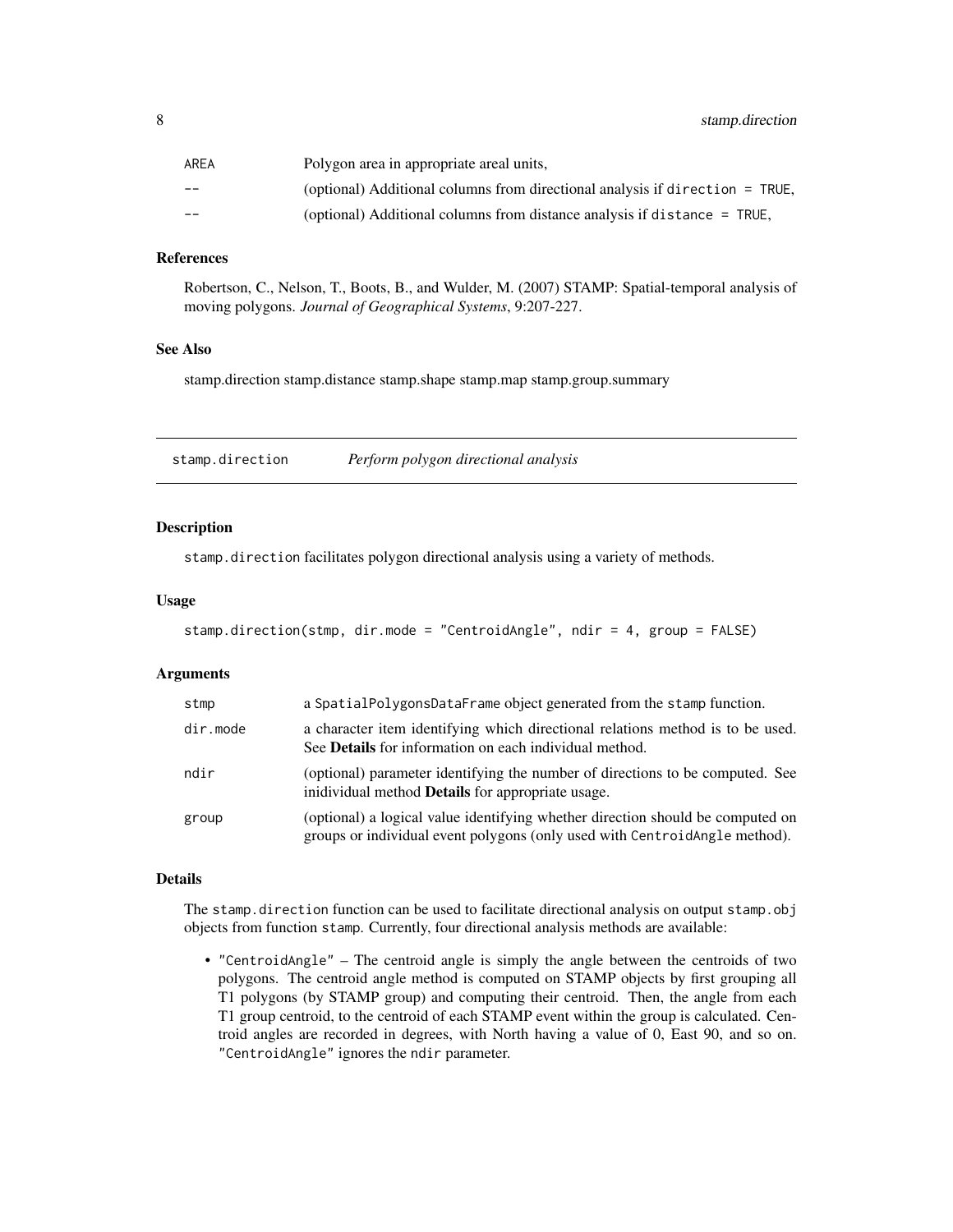<span id="page-7-0"></span>

| AREA | Polygon area in appropriate areal units,                                     |
|------|------------------------------------------------------------------------------|
| --   | (optional) Additional columns from directional analysis if direction = TRUE, |
| --   | (optional) Additional columns from distance analysis if distance = TRUE,     |

#### References

Robertson, C., Nelson, T., Boots, B., and Wulder, M. (2007) STAMP: Spatial-temporal analysis of moving polygons. *Journal of Geographical Systems*, 9:207-227.

## See Also

stamp.direction stamp.distance stamp.shape stamp.map stamp.group.summary

stamp.direction *Perform polygon directional analysis*

#### Description

stamp.direction facilitates polygon directional analysis using a variety of methods.

#### Usage

```
stamp.direction(stmp, dir.mode = "CentroidAngle", ndir = 4, group = FALSE)
```
# Arguments

| stmp     | a SpatialPolygonsDataFrame object generated from the stamp function.                                                                                         |
|----------|--------------------------------------------------------------------------------------------------------------------------------------------------------------|
| dir.mode | a character item identifying which directional relations method is to be used.<br>See <b>Details</b> for information on each individual method.              |
| ndir     | (optional) parameter identifying the number of directions to be computed. See<br>inidividual method <b>Details</b> for appropriate usage.                    |
| group    | (optional) a logical value identifying whether direction should be computed on<br>groups or individual event polygons (only used with CentroidAngle method). |

#### Details

The stamp.direction function can be used to facilitate directional analysis on output stamp.obj objects from function stamp. Currently, four directional analysis methods are available:

• "CentroidAngle" – The centroid angle is simply the angle between the centroids of two polygons. The centroid angle method is computed on STAMP objects by first grouping all T1 polygons (by STAMP group) and computing their centroid. Then, the angle from each T1 group centroid, to the centroid of each STAMP event within the group is calculated. Centroid angles are recorded in degrees, with North having a value of 0, East 90, and so on. "CentroidAngle" ignores the ndir parameter.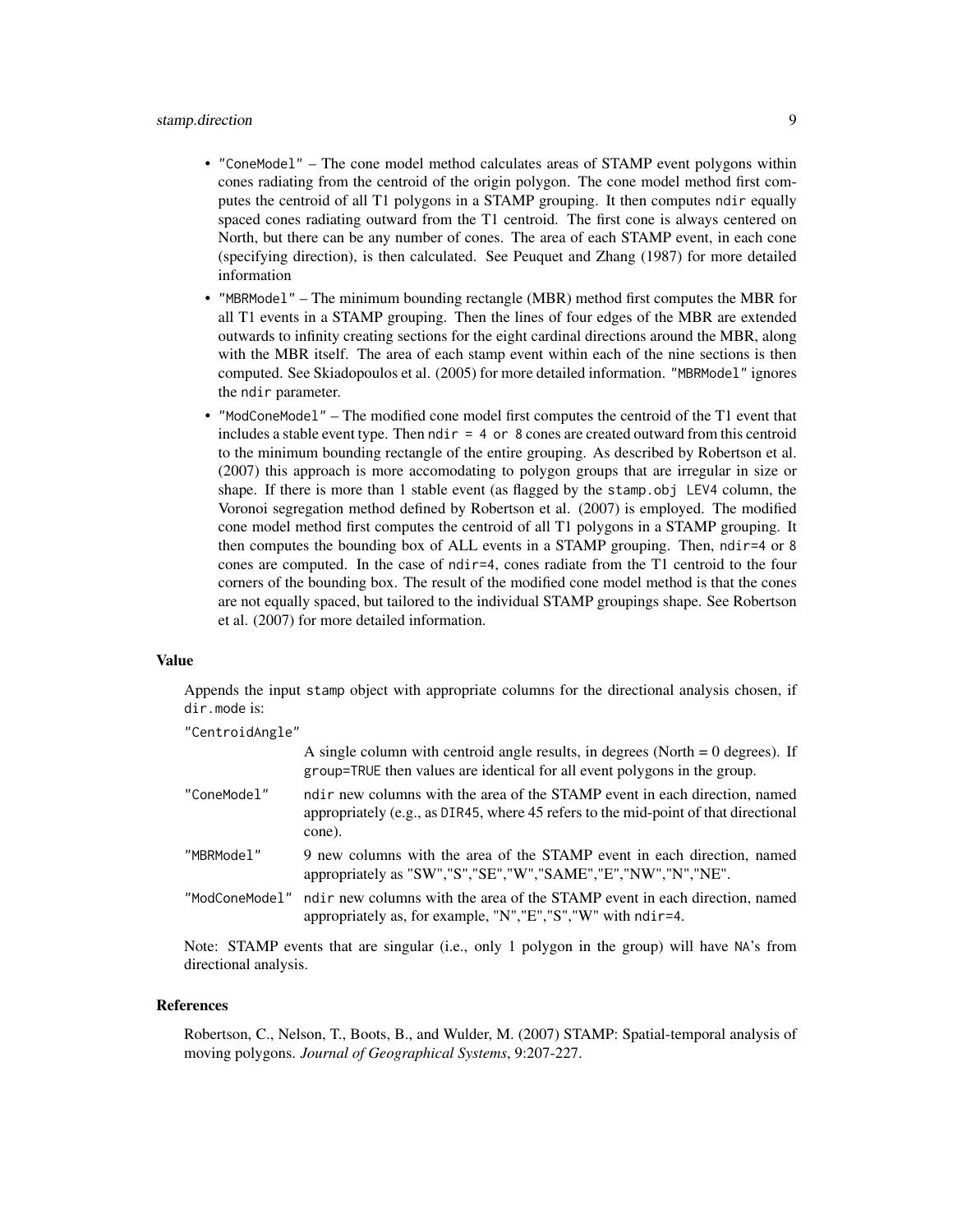# stamp.direction 9

- "ConeModel" The cone model method calculates areas of STAMP event polygons within cones radiating from the centroid of the origin polygon. The cone model method first computes the centroid of all T1 polygons in a STAMP grouping. It then computes ndir equally spaced cones radiating outward from the T1 centroid. The first cone is always centered on North, but there can be any number of cones. The area of each STAMP event, in each cone (specifying direction), is then calculated. See Peuquet and Zhang (1987) for more detailed information
- "MBRModel" The minimum bounding rectangle (MBR) method first computes the MBR for all T1 events in a STAMP grouping. Then the lines of four edges of the MBR are extended outwards to infinity creating sections for the eight cardinal directions around the MBR, along with the MBR itself. The area of each stamp event within each of the nine sections is then computed. See Skiadopoulos et al. (2005) for more detailed information. "MBRModel" ignores the ndir parameter.
- "ModConeModel" The modified cone model first computes the centroid of the T1 event that includes a stable event type. Then  $\text{ndir} = 4$  or 8 cones are created outward from this centroid to the minimum bounding rectangle of the entire grouping. As described by Robertson et al. (2007) this approach is more accomodating to polygon groups that are irregular in size or shape. If there is more than 1 stable event (as flagged by the stamp.obj LEV4 column, the Voronoi segregation method defined by Robertson et al. (2007) is employed. The modified cone model method first computes the centroid of all T1 polygons in a STAMP grouping. It then computes the bounding box of ALL events in a STAMP grouping. Then, ndir=4 or 8 cones are computed. In the case of ndir=4, cones radiate from the T1 centroid to the four corners of the bounding box. The result of the modified cone model method is that the cones are not equally spaced, but tailored to the individual STAMP groupings shape. See Robertson et al. (2007) for more detailed information.

#### Value

Appends the input stamp object with appropriate columns for the directional analysis chosen, if dir.mode is:

"CentroidAngle"

| A single column with centroid angle results, in degrees (North $= 0$ degrees). If<br>group=TRUE then values are identical for all event polygons in the group.              |
|-----------------------------------------------------------------------------------------------------------------------------------------------------------------------------|
| ndir new columns with the area of the STAMP event in each direction, named<br>appropriately (e.g., as DIR45, where 45 refers to the mid-point of that directional<br>cone). |
| 9 new columns with the area of the STAMP event in each direction, named<br>appropriately as "SW","S","SE","W","SAME","E","NW","N","NE".                                     |
| ndir new columns with the area of the STAMP event in each direction, named<br>appropriately as, for example, "N", "E", "S", "W" with $ndir=4$ .                             |
|                                                                                                                                                                             |

Note: STAMP events that are singular (i.e., only 1 polygon in the group) will have NA's from directional analysis.

#### References

Robertson, C., Nelson, T., Boots, B., and Wulder, M. (2007) STAMP: Spatial-temporal analysis of moving polygons. *Journal of Geographical Systems*, 9:207-227.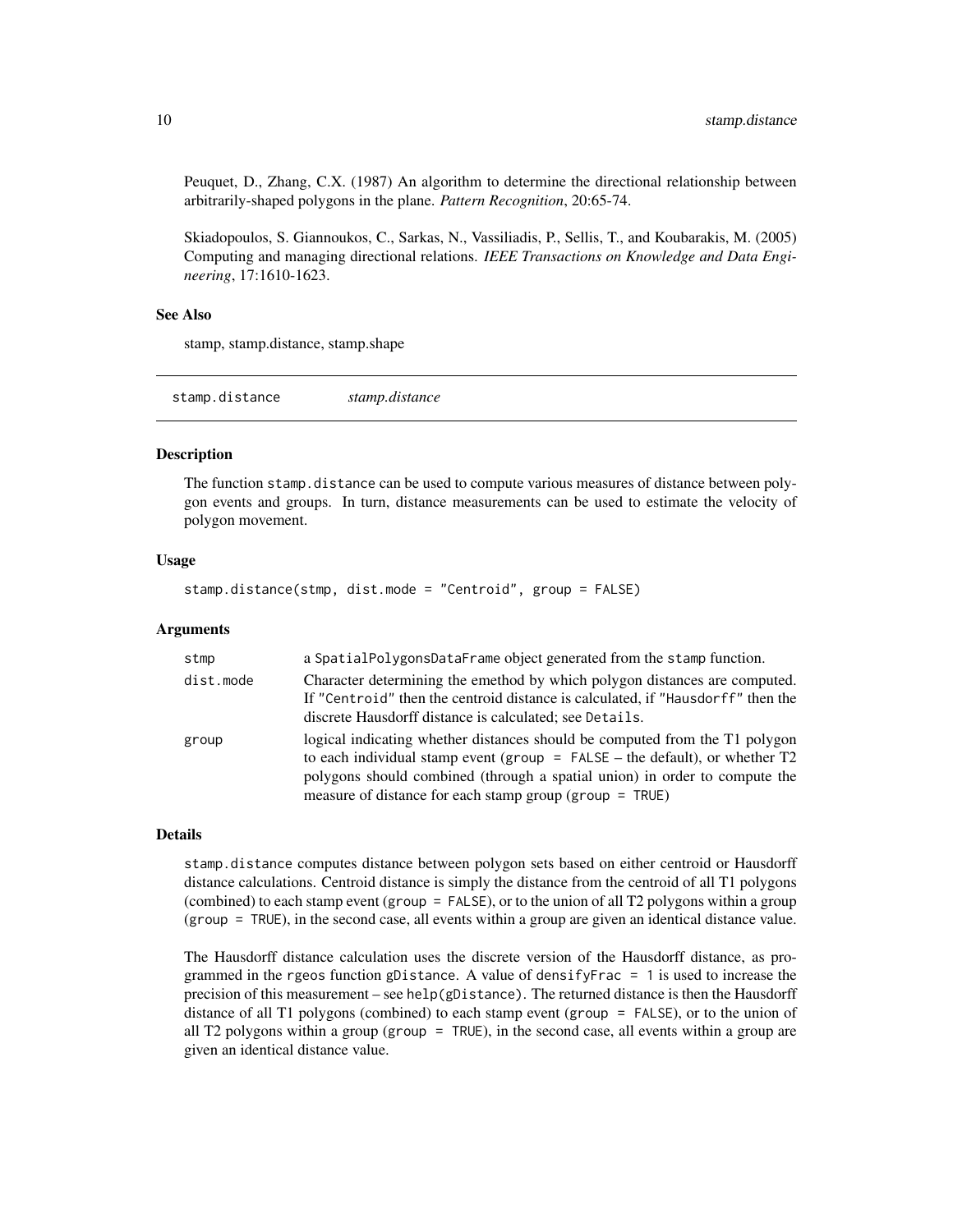Peuquet, D., Zhang, C.X. (1987) An algorithm to determine the directional relationship between arbitrarily-shaped polygons in the plane. *Pattern Recognition*, 20:65-74.

Skiadopoulos, S. Giannoukos, C., Sarkas, N., Vassiliadis, P., Sellis, T., and Koubarakis, M. (2005) Computing and managing directional relations. *IEEE Transactions on Knowledge and Data Engineering*, 17:1610-1623.

#### See Also

stamp, stamp.distance, stamp.shape

stamp.distance *stamp.distance*

#### Description

The function stamp.distance can be used to compute various measures of distance between polygon events and groups. In turn, distance measurements can be used to estimate the velocity of polygon movement.

#### Usage

stamp.distance(stmp, dist.mode = "Centroid", group = FALSE)

#### Arguments

| stmp      | a SpatialPolygonsDataFrame object generated from the stamp function.                                                                                                                                                                                                                                    |
|-----------|---------------------------------------------------------------------------------------------------------------------------------------------------------------------------------------------------------------------------------------------------------------------------------------------------------|
| dist.mode | Character determining the emethod by which polygon distances are computed.<br>If "Centroid" then the centroid distance is calculated, if "Hausdorff" then the<br>discrete Hausdorff distance is calculated; see Details.                                                                                |
| group     | logical indicating whether distances should be computed from the T1 polygon<br>to each individual stamp event (group = $FALSE$ – the default), or whether $T2$<br>polygons should combined (through a spatial union) in order to compute the<br>measure of distance for each stamp group (group = TRUE) |

#### Details

stamp.distance computes distance between polygon sets based on either centroid or Hausdorff distance calculations. Centroid distance is simply the distance from the centroid of all T1 polygons (combined) to each stamp event (group = FALSE), or to the union of all T2 polygons within a group (group = TRUE), in the second case, all events within a group are given an identical distance value.

The Hausdorff distance calculation uses the discrete version of the Hausdorff distance, as programmed in the rgeos function gDistance. A value of densifyFrac = 1 is used to increase the precision of this measurement – see help( $g$ Distance). The returned distance is then the Hausdorff distance of all T1 polygons (combined) to each stamp event (group = FALSE), or to the union of all T2 polygons within a group (group  $=$  TRUE), in the second case, all events within a group are given an identical distance value.

<span id="page-9-0"></span>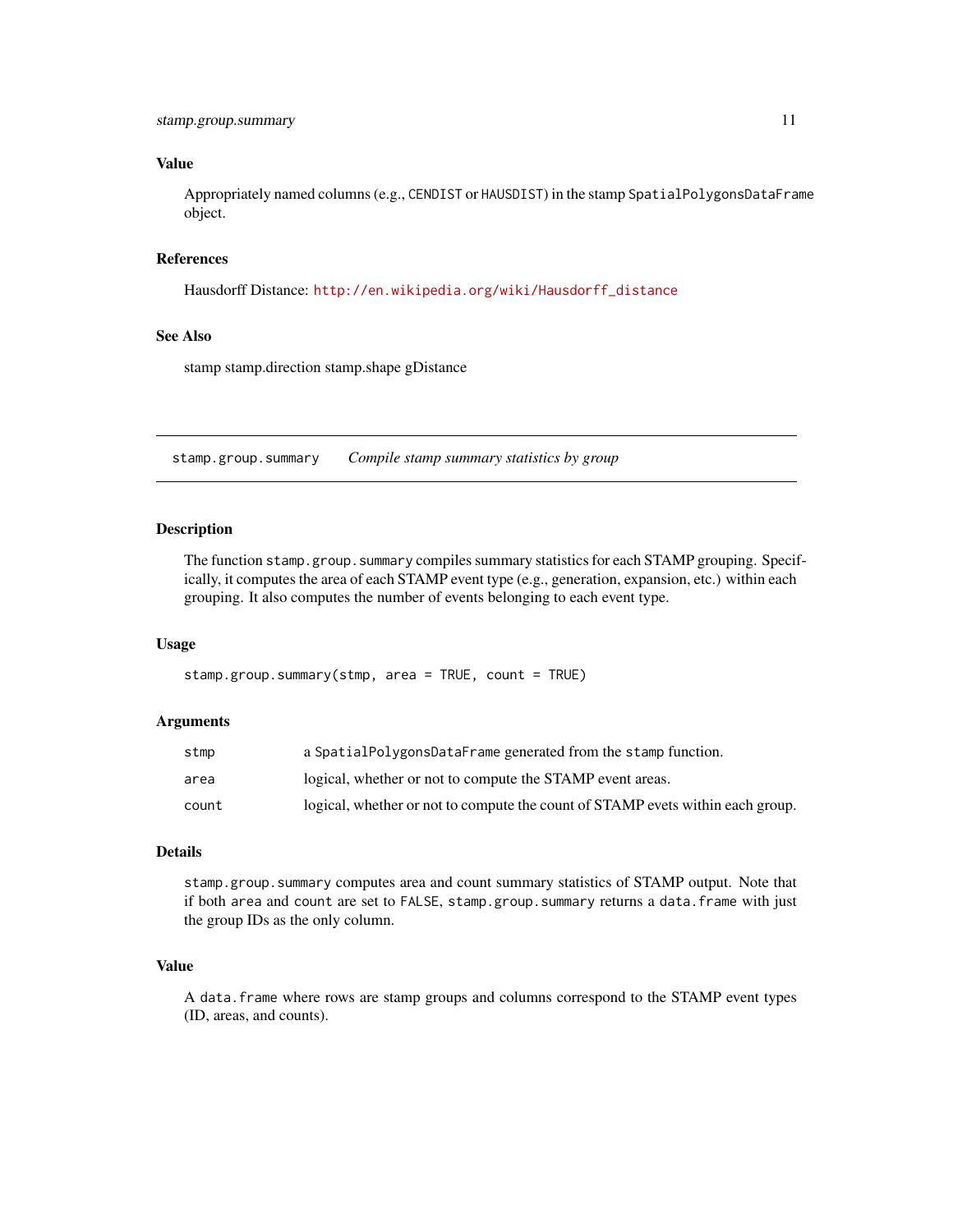# <span id="page-10-0"></span>Value

Appropriately named columns (e.g., CENDIST or HAUSDIST) in the stamp SpatialPolygonsDataFrame object.

## References

Hausdorff Distance: [http://en.wikipedia.org/wiki/Hausdorff\\_distance](http://en.wikipedia.org/wiki/Hausdorff_distance)

#### See Also

stamp stamp.direction stamp.shape gDistance

stamp.group.summary *Compile stamp summary statistics by group*

# **Description**

The function stamp.group.summary compiles summary statistics for each STAMP grouping. Specifically, it computes the area of each STAMP event type (e.g., generation, expansion, etc.) within each grouping. It also computes the number of events belonging to each event type.

#### Usage

stamp.group.summary(stmp, area = TRUE, count = TRUE)

#### Arguments

| stmp  | a SpatialPolygonsDataFrame generated from the stamp function.                  |
|-------|--------------------------------------------------------------------------------|
| area  | logical, whether or not to compute the STAMP event areas.                      |
| count | logical, whether or not to compute the count of STAMP evets within each group. |

# Details

stamp.group.summary computes area and count summary statistics of STAMP output. Note that if both area and count are set to FALSE, stamp.group.summary returns a data.frame with just the group IDs as the only column.

# Value

A data.frame where rows are stamp groups and columns correspond to the STAMP event types (ID, areas, and counts).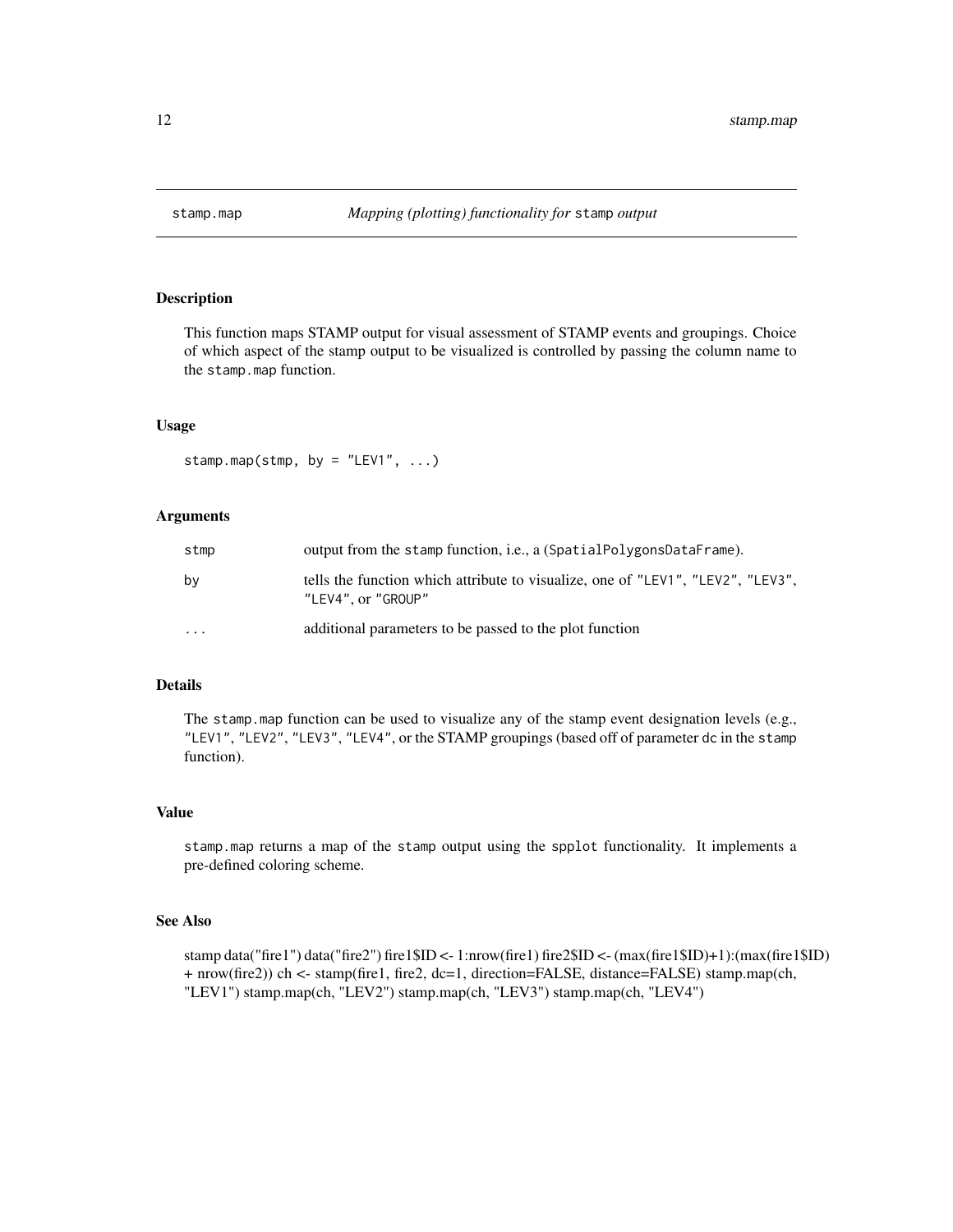<span id="page-11-0"></span>

# Description

This function maps STAMP output for visual assessment of STAMP events and groupings. Choice of which aspect of the stamp output to be visualized is controlled by passing the column name to the stamp.map function.

#### Usage

stamp.map(stmp, by = "LEV1",  $\ldots$ )

#### Arguments

| stmp     | output from the stamp function, i.e., a (SpatialPolygonsDataFrame).                                   |
|----------|-------------------------------------------------------------------------------------------------------|
| by       | tells the function which attribute to visualize, one of "LEV1", "LEV2", "LEV3",<br>"LEV4", or "GROUP" |
| $\cdots$ | additional parameters to be passed to the plot function                                               |

# Details

The stamp.map function can be used to visualize any of the stamp event designation levels (e.g., "LEV1", "LEV2", "LEV3", "LEV4", or the STAMP groupings (based off of parameter dc in the stamp function).

#### Value

stamp.map returns a map of the stamp output using the spplot functionality. It implements a pre-defined coloring scheme.

# See Also

stamp data("fire1") data("fire2") fire1\$ID <- 1:nrow(fire1) fire2\$ID <- (max(fire1\$ID)+1):(max(fire1\$ID) + nrow(fire2)) ch <- stamp(fire1, fire2, dc=1, direction=FALSE, distance=FALSE) stamp.map(ch, "LEV1") stamp.map(ch, "LEV2") stamp.map(ch, "LEV3") stamp.map(ch, "LEV4")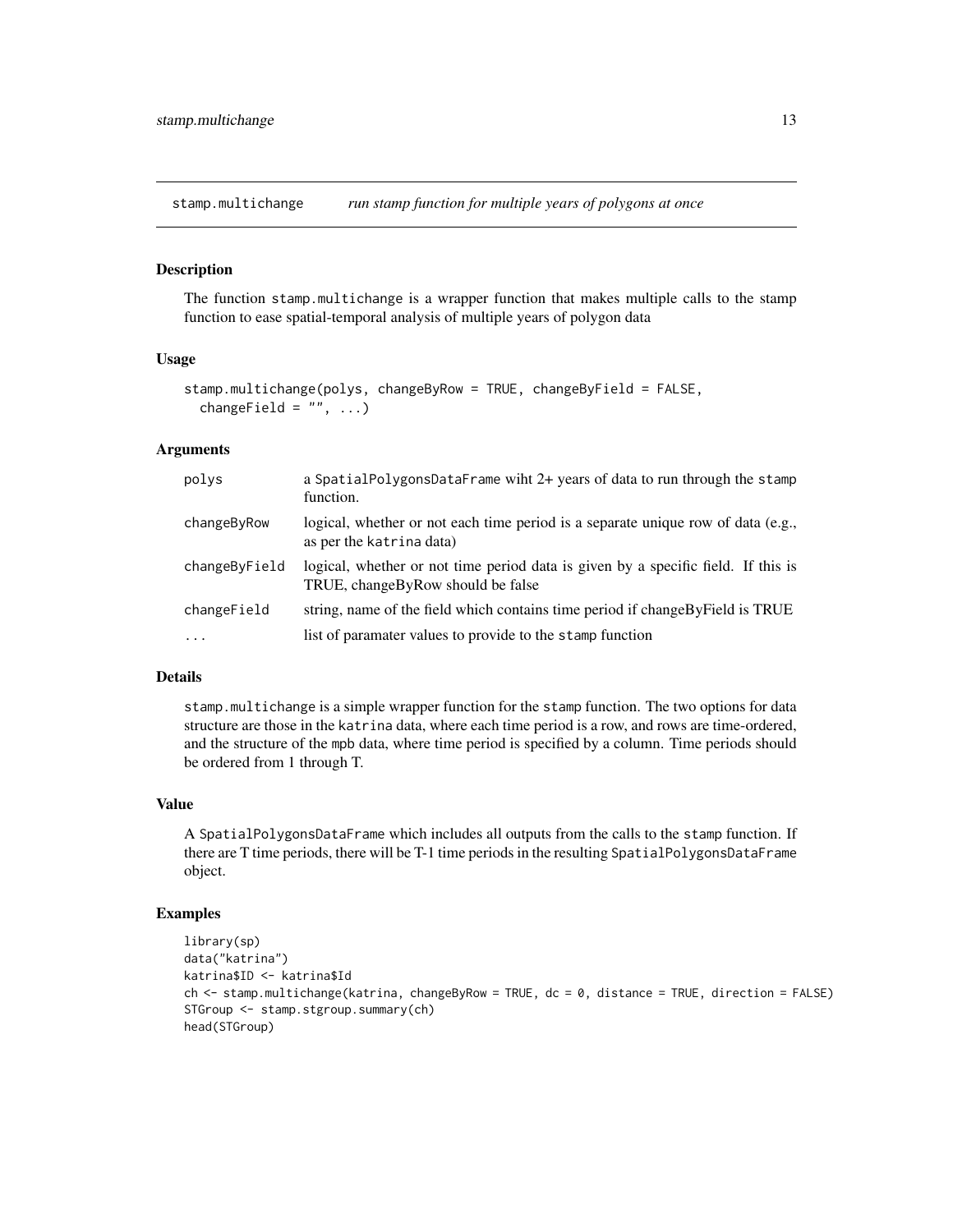<span id="page-12-0"></span>stamp.multichange *run stamp function for multiple years of polygons at once*

#### Description

The function stamp.multichange is a wrapper function that makes multiple calls to the stamp function to ease spatial-temporal analysis of multiple years of polygon data

# Usage

```
stamp.multichange(polys, changeByRow = TRUE, changeByField = FALSE,
 changeField = "", ...)
```
# Arguments

| polys         | a SpatialPolygonsDataFrame wiht 2+ years of data to run through the stamp<br>function.                                 |
|---------------|------------------------------------------------------------------------------------------------------------------------|
| changeByRow   | logical, whether or not each time period is a separate unique row of data (e.g.,<br>as per the katrina data)           |
| changeByField | logical, whether or not time period data is given by a specific field. If this is<br>TRUE, changeByRow should be false |
| changeField   | string, name of the field which contains time period if change By Field is TRUE                                        |
| $\cdots$      | list of paramater values to provide to the stamp function                                                              |

# Details

stamp.multichange is a simple wrapper function for the stamp function. The two options for data structure are those in the katrina data, where each time period is a row, and rows are time-ordered, and the structure of the mpb data, where time period is specified by a column. Time periods should be ordered from 1 through T.

# Value

A SpatialPolygonsDataFrame which includes all outputs from the calls to the stamp function. If there are T time periods, there will be T-1 time periods in the resulting SpatialPolygonsDataFrame object.

```
library(sp)
data("katrina")
katrina$ID <- katrina$Id
ch <- stamp.multichange(katrina, changeByRow = TRUE, dc = 0, distance = TRUE, direction = FALSE)
STGroup <- stamp.stgroup.summary(ch)
head(STGroup)
```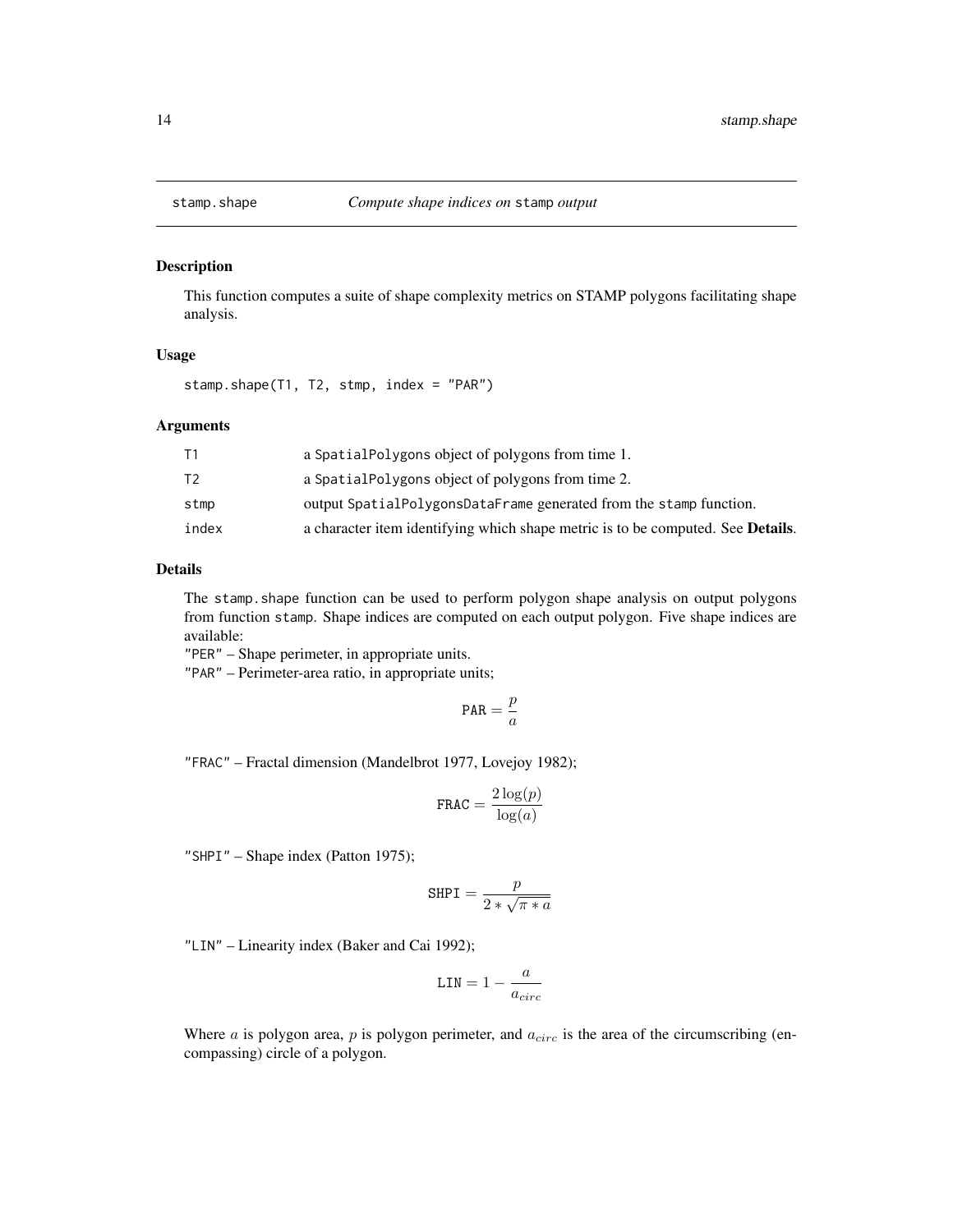<span id="page-13-0"></span>

#### Description

This function computes a suite of shape complexity metrics on STAMP polygons facilitating shape analysis.

#### Usage

stamp.shape(T1, T2, stmp, index = "PAR")

#### Arguments

|       | a Spatial Polygons object of polygons from time 1.                                      |
|-------|-----------------------------------------------------------------------------------------|
| Т2    | a Spatial Polygons object of polygons from time 2.                                      |
| stmp  | output SpatialPolygonsDataFrame generated from the stamp function.                      |
| index | a character item identifying which shape metric is to be computed. See <b>Details</b> . |

# Details

The stamp.shape function can be used to perform polygon shape analysis on output polygons from function stamp. Shape indices are computed on each output polygon. Five shape indices are available:

"PER" – Shape perimeter, in appropriate units.

"PAR" – Perimeter-area ratio, in appropriate units;

$$
\text{PAR}=\frac{p}{a}
$$

"FRAC" – Fractal dimension (Mandelbrot 1977, Lovejoy 1982);

$$
\texttt{FRAC} = \frac{2\log(p)}{\log(a)}
$$

"SHPI" – Shape index (Patton 1975);

$$
\text{SHPI} = \frac{p}{2 * \sqrt{\pi * a}}
$$

"LIN" – Linearity index (Baker and Cai 1992);

$$
\text{LIN} = 1 - \frac{a}{a_{circ}}
$$

Where  $a$  is polygon area,  $p$  is polygon perimeter, and  $a_{circ}$  is the area of the circumscribing (encompassing) circle of a polygon.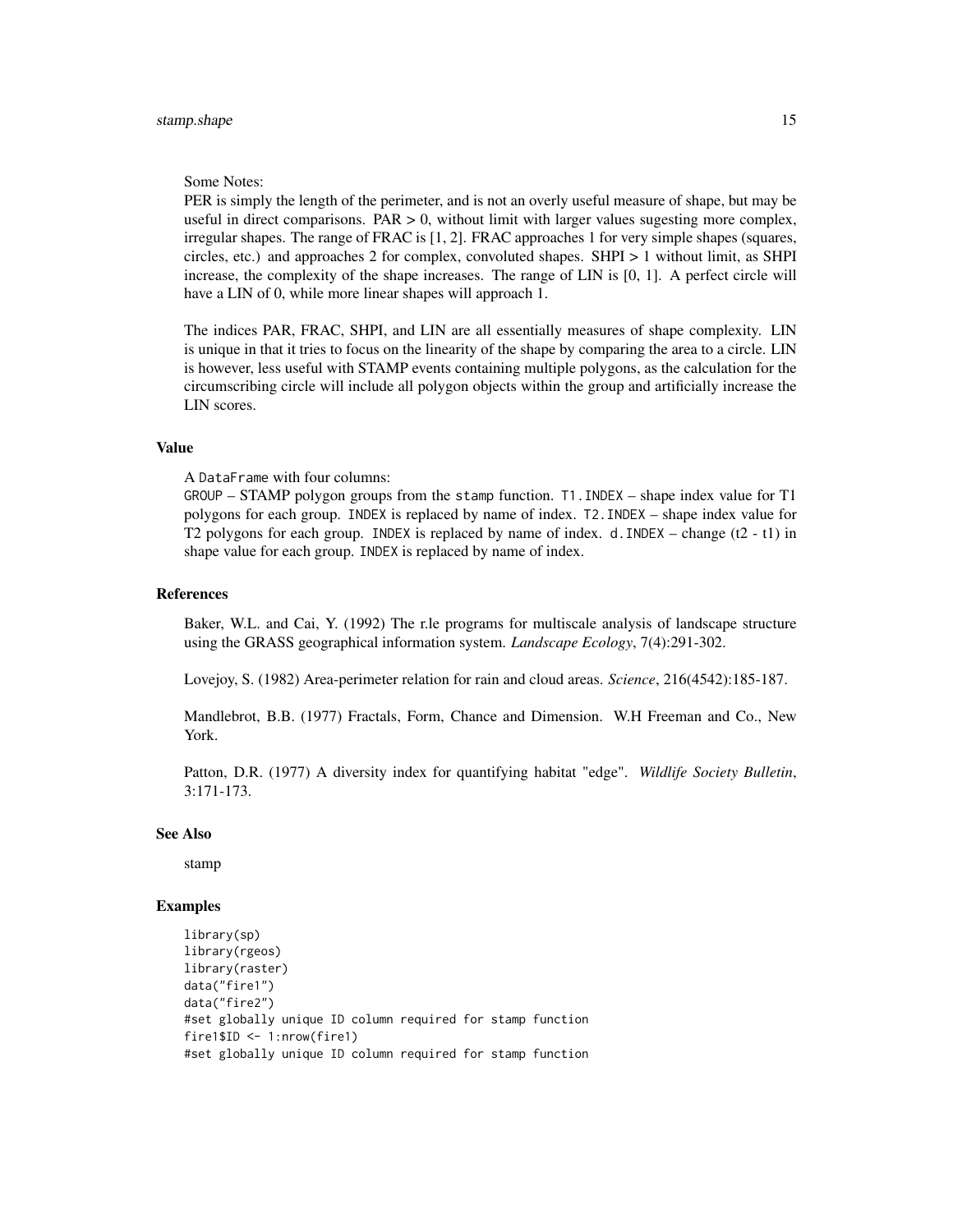#### Some Notes:

PER is simply the length of the perimeter, and is not an overly useful measure of shape, but may be useful in direct comparisons.  $PAR > 0$ , without limit with larger values sugesting more complex, irregular shapes. The range of FRAC is [1, 2]. FRAC approaches 1 for very simple shapes (squares, circles, etc.) and approaches 2 for complex, convoluted shapes. SHPI > 1 without limit, as SHPI increase, the complexity of the shape increases. The range of LIN is [0, 1]. A perfect circle will have a LIN of 0, while more linear shapes will approach 1.

The indices PAR, FRAC, SHPI, and LIN are all essentially measures of shape complexity. LIN is unique in that it tries to focus on the linearity of the shape by comparing the area to a circle. LIN is however, less useful with STAMP events containing multiple polygons, as the calculation for the circumscribing circle will include all polygon objects within the group and artificially increase the LIN scores.

# Value

A DataFrame with four columns:

GROUP – STAMP polygon groups from the stamp function. T1.INDEX – shape index value for T1 polygons for each group. INDEX is replaced by name of index. T2.INDEX – shape index value for T2 polygons for each group. INDEX is replaced by name of index. d. INDEX – change  $(t2 - t1)$  in shape value for each group. INDEX is replaced by name of index.

#### References

Baker, W.L. and Cai, Y. (1992) The r.le programs for multiscale analysis of landscape structure using the GRASS geographical information system. *Landscape Ecology*, 7(4):291-302.

Lovejoy, S. (1982) Area-perimeter relation for rain and cloud areas. *Science*, 216(4542):185-187.

Mandlebrot, B.B. (1977) Fractals, Form, Chance and Dimension. W.H Freeman and Co., New York.

Patton, D.R. (1977) A diversity index for quantifying habitat "edge". *Wildlife Society Bulletin*, 3:171-173.

#### See Also

stamp

```
library(sp)
library(rgeos)
library(raster)
data("fire1")
data("fire2")
#set globally unique ID column required for stamp function
fire1$ID <- 1:nrow(fire1)
#set globally unique ID column required for stamp function
```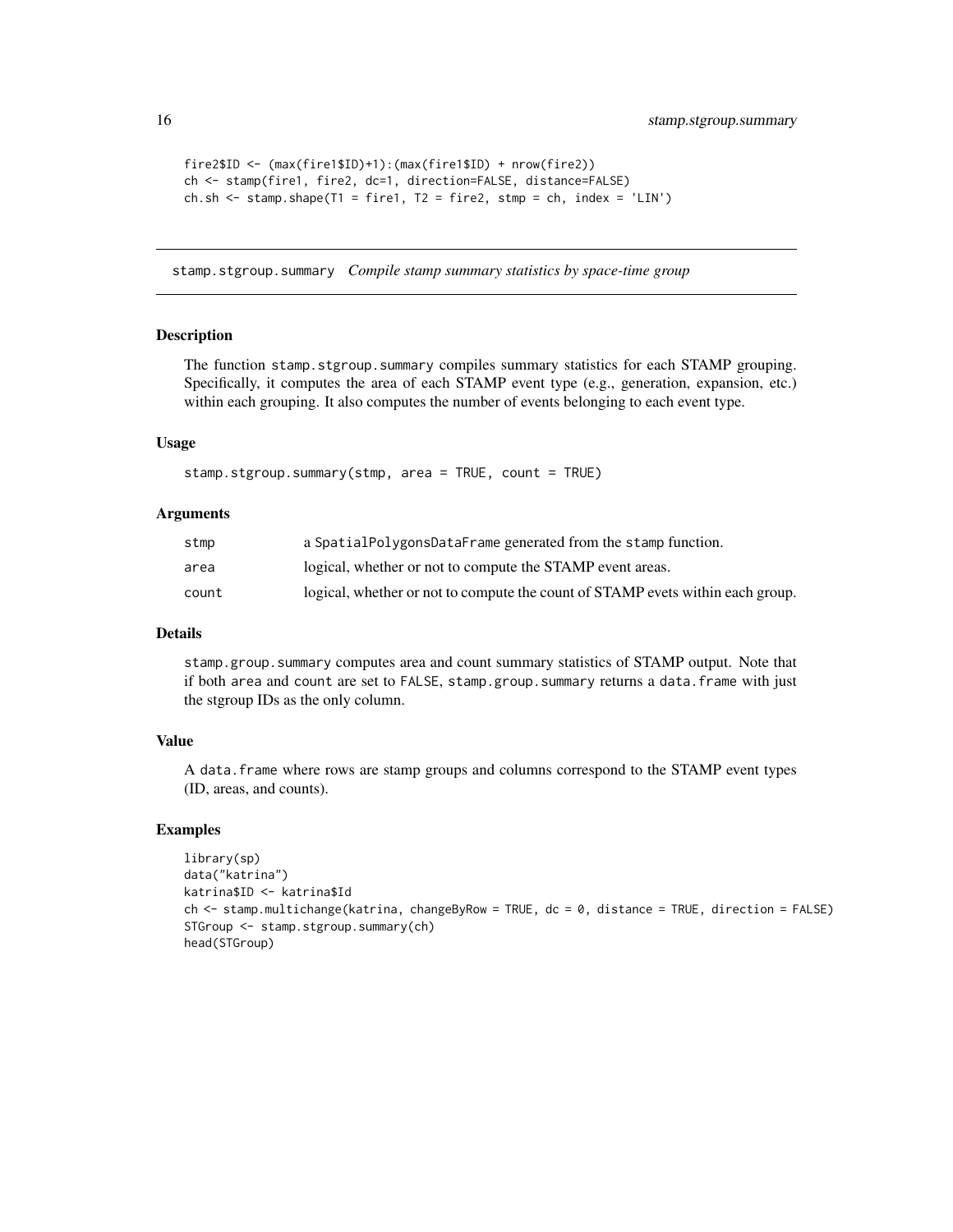```
fire2$ID <- (max(fire1$ID)+1):(max(fire1$ID) + nrow(fire2))
ch <- stamp(fire1, fire2, dc=1, direction=FALSE, distance=FALSE)
ch.sh <- stamp.shape(T1 = fire1, T2 = fire2, stmp = ch, index = 'LIN')
```
stamp.stgroup.summary *Compile stamp summary statistics by space-time group*

#### Description

The function stamp.stgroup.summary compiles summary statistics for each STAMP grouping. Specifically, it computes the area of each STAMP event type (e.g., generation, expansion, etc.) within each grouping. It also computes the number of events belonging to each event type.

#### Usage

```
stamp.stgroup.summary(stmp, area = TRUE, count = TRUE)
```
#### Arguments

| stmp  | a SpatialPolygonsDataFrame generated from the stamp function.                  |
|-------|--------------------------------------------------------------------------------|
| area  | logical, whether or not to compute the STAMP event areas.                      |
| count | logical, whether or not to compute the count of STAMP evets within each group. |

### Details

stamp.group.summary computes area and count summary statistics of STAMP output. Note that if both area and count are set to FALSE, stamp.group.summary returns a data.frame with just the stgroup IDs as the only column.

#### Value

A data.frame where rows are stamp groups and columns correspond to the STAMP event types (ID, areas, and counts).

```
library(sp)
data("katrina")
katrina$ID <- katrina$Id
ch <- stamp.multichange(katrina, changeByRow = TRUE, dc = 0, distance = TRUE, direction = FALSE)
STGroup <- stamp.stgroup.summary(ch)
head(STGroup)
```
<span id="page-15-0"></span>